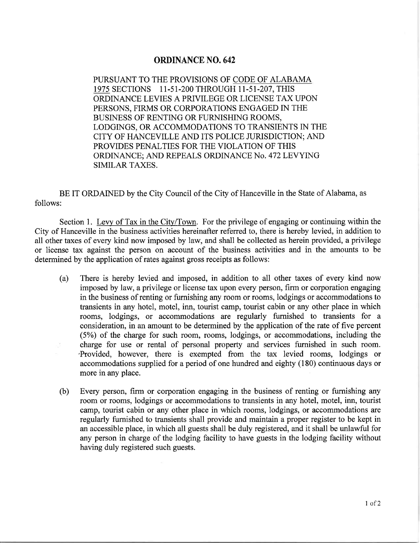## ORDINANCE NO. 642

PURSUANT TO THE PROVISIONS OF CODE OF ALABAMA 1975 SECTIONS II.5I-2OO THROUGH II-51-207, THIS ORDINANCE LEVIES A PRIVILEGE OR LICENSE TAX UPON PERSONS, FIRMS OR CORPORATIONS ENGAGED IN THE BUSINESS OF RENTING OR FURNISHING ROOMS, LODGINGS, OR ACCOMMODATIONS TO TRANSIENTS IN THE CITY OF HANCEVILLE AND ITS POLICE JURISDICTION; AND PROVIDES PENALTIES FOR THE VIOLATION OF THIS ORDINANCE; AND REPEALS ORDINANCE No. 472 LEVYING SIMILAR TAXES.

BE IT ORDAINED by the City Council of the City of Hanceville in the State of Alabama, as follows:

Section 1. Levy of Tax in the City/Town. For the privilege of engaging or continuing within the City of Hanceville in the business activities hereinafter referred to, there is hereby levied, in addition to all other taxes of every kind now imposed by law, and shall be collected as herein provided, a privilege or license tax against the person on account of the business activities and in the amounts to be determined by the application of rates against gross receipts as follows:

- (a) There is hereby levied and imposed, in addition to all other taxes of every kind now imposed by law, a privilege or license tax upon every person, firm or corporation engaging in the business of renting or furnishing any room or rooms, lodgings or accommodations to transients in any hotel, motel, inn, tourist camp, tourist cabin or any other place in which rooms, lodgings, or accommodations are regularly furnished to transients for <sup>a</sup> consideration, in an amount to be determined by the application of the rate of five percent (5%) of the charge for such room, rooms, lodgings, or accommodations, including the charge for use or rental of personal property and services fumished in such room. 'Provided, however, there is exempted from the tax levied rooms, lodgings or accommodations supplied for a period of one hundred and eighty (180) continuous days or more in any place.
- (b) Every person, firm or corporation engaging in the business of renting or furnishing any room or rooms, lodgings or accommodations to transients in any hotel, motel, inn, tourist camp, tourist cabin or any other place in which rooms, lodgings, or accommodations are regularly furnished to transients shall provide and maintain a proper register to be kept in an accessible place, in which all guests shall be duly registered, and it shall be unlawful for any person in charge of the lodging facility to have guests in the lodging facility without having duly registered such guests.